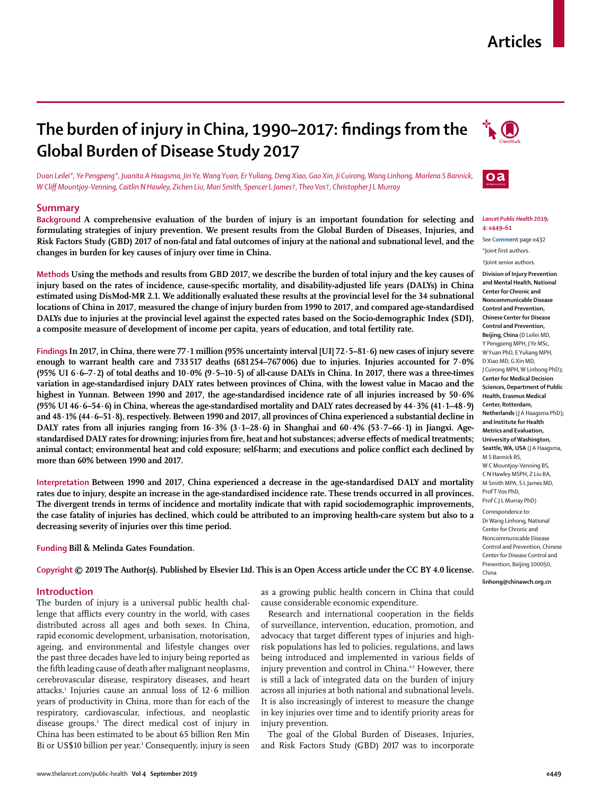## **Articles**

# **The burden of injury in China, 1990–2017: findings from the Global Burden of Disease Study 2017**

*Duan Leilei\*, Ye Pengpeng\*, Juanita A Haagsma, Jin Ye, Wang Yuan, Er Yuliang, Deng Xiao, Gao Xin, Ji Cuirong, Wang Linhong, Marlena S Bannick, W Cliff Mountjoy-Venning, Caitlin N Hawley, Zichen Liu, Mari Smith, Spencer L James†, Theo Vos†, Christopher J L Murray*

## **Summary**

**Background A comprehensive evaluation of the burden of injury is an important foundation for selecting and formulating strategies of injury prevention. We present results from the Global Burden of Diseases, Injuries, and Risk Factors Study (GBD) 2017 of non-fatal and fatal outcomes of injury at the national and subnational level, and the changes in burden for key causes of injury over time in China.**

**Methods Using the methods and results from GBD 2017, we describe the burden of total injury and the key causes of injury based on the rates of incidence, cause-specific mortality, and disability-adjusted life years (DALYs) in China estimated using DisMod-MR 2.1. We additionally evaluated these results at the provincial level for the 34 subnational locations of China in 2017, measured the change of injury burden from 1990 to 2017, and compared age-standardised DALYs due to injuries at the provincial level against the expected rates based on the Socio-demographic Index (SDI), a composite measure of development of income per capita, years of education, and total fertility rate.**

**Findings In 2017, in China, there were 77·1 million (95% uncertainty interval [UI] 72·5–81·6) new cases of injury severe enough to warrant health care and 733517 deaths (681254–767006) due to injuries. Injuries accounted for 7·0% (95% UI 6·6–7·2) of total deaths and 10·0% (9·5–10·5) of all-cause DALYs in China. In 2017, there was a three-times variation in age-standardised injury DALY rates between provinces of China, with the lowest value in Macao and the highest in Yunnan. Between 1990 and 2017, the age-standardised incidence rate of all injuries increased by 50·6% (95% UI 46·6–54·6) in China, whereas the age-standardised mortality and DALY rates decreased by 44·3% (41·1–48·9) and 48·1% (44·6–51·8), respectively. Between 1990 and 2017, all provinces of China experienced a substantial decline in DALY rates from all injuries ranging from 16·3% (3·1–28·6) in Shanghai and 60·4% (53·7–66·1) in Jiangxi. Agestandardised DALY rates for drowning; injuries from fire, heat and hot substances; adverse effects of medical treatments; animal contact; environmental heat and cold exposure; self-harm; and executions and police conflict each declined by more than 60% between 1990 and 2017.**

**Interpretation Between 1990 and 2017, China experienced a decrease in the age-standardised DALY and mortality rates due to injury, despite an increase in the age-standardised incidence rate. These trends occurred in all provinces. The divergent trends in terms of incidence and mortality indicate that with rapid sociodemographic improvements, the case fatality of injuries has declined, which could be attributed to an improving health-care system but also to a decreasing severity of injuries over this time period.**

**Funding Bill & Melinda Gates Foundation.**



 $\mathbf{0}$ a



#### *Lancet Public Health* **2019; 4: e449–61**

See **Comment** page e432

\*Joint first authors.

†Joint senior authors.

**Division of Injury Prevention and Mental Health, National Center for Chronic and Noncommunicable Disease Control and Prevention, Chinese Center for Disease Control and Prevention, Beijing, China** (D Leilei MD, Y Pengpeng MPH, J Ye MSc, W Yuan PhD, E Yuliang MPH, D Xiao MD, G Xin MD, J Cuirong MPH, W Linhong PhD)**; Center for Medical Decision Sciences, Department of Public Health, Erasmus Medical Center, Rotterdam, Netherlands** (J A Haagsma PhD)**; and Institute for Health Metrics and Evaluation, University of Washington, Seattle, WA, USA** (J A Haagsma, M S Bannick BS, W C Mountjoy-Venning BS, C N Hawley MSPH, Z Liu BA, M Smith MPA, S L James MD, Prof T Vos PhD, Prof C J L Murray PhD)

Correspondence to: Dr Wang Linhong, National Center for Chronic and Noncommunicable Disease Control and Prevention, Chinese Center for Disease Control and Prevention, Beijing 100050, China

**linhong@chinawch.org.cn**

**Copyright © 2019 The Author(s). Published by Elsevier Ltd. This is an Open Access article under the CC BY 4.0 license.**

## **Introduction**

The burden of injury is a universal public health challenge that afflicts every country in the world, with cases distributed across all ages and both sexes. In China, rapid economic development, urbanisation, motorisation, ageing, and environmental and lifestyle changes over the past three decades have led to injury being reported as the fifth leading cause of death after malignant neoplasms, cerebrovascular disease, respiratory diseases, and heart attacks.1 Injuries cause an annual loss of 12·6 million years of productivity in China, more than for each of the respiratory, cardiovascular, infectious, and neoplastic disease groups.2 The direct medical cost of injury in China has been estimated to be about 65 billion Ren Min Bi or US\$10 billion per year.<sup>3</sup> Consequently, injury is seen as a growing public health concern in China that could cause considerable economic expenditure.

Research and international cooperation in the fields of surveillance, intervention, education, promotion, and advocacy that target different types of injuries and highrisk populations has led to policies, regulations, and laws being introduced and implemented in various fields of injury prevention and control in China.<sup>4,5</sup> However, there is still a lack of integrated data on the burden of injury across all injuries at both national and subnational levels. It is also increasingly of interest to measure the change in key injuries over time and to identify priority areas for injury prevention.

The goal of the Global Burden of Diseases, Injuries, and Risk Factors Study (GBD) 2017 was to incorporate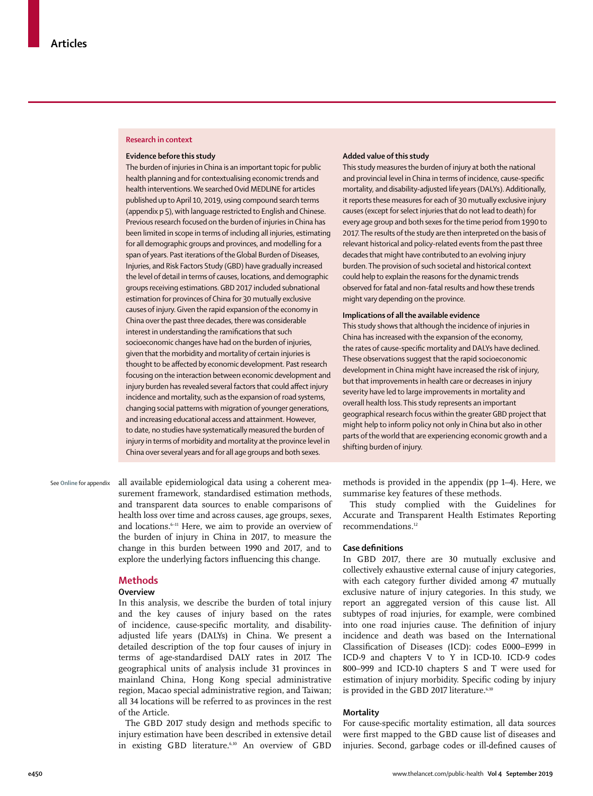#### **Research in context**

#### **Evidence before this study**

The burden of injuries in China is an important topic for public health planning and for contextualising economic trends and health interventions. We searched Ovid MEDLINE for articles published up to April 10, 2019, using compound search terms (appendix p 5), with language restricted to English and Chinese. Previous research focused on the burden of injuries in China has been limited in scope in terms of including all injuries, estimating for all demographic groups and provinces, and modelling for a span of years. Past iterations of the Global Burden of Diseases, Injuries, and Risk Factors Study (GBD) have gradually increased the level of detail in terms of causes, locations, and demographic groups receiving estimations. GBD 2017 included subnational estimation for provinces of China for 30 mutually exclusive causes of injury. Given the rapid expansion of the economy in China over the past three decades, there was considerable interest in understanding the ramifications that such socioeconomic changes have had on the burden of injuries, given that the morbidity and mortality of certain injuries is thought to be affected by economic development. Past research focusing on the interaction between economic development and injury burden has revealed several factors that could affect injury incidence and mortality, such as the expansion of road systems, changing social patterns with migration of younger generations, and increasing educational access and attainment. However, to date, no studies have systematically measured the burden of injury in terms of morbidity and mortality at the province level in China over several years and for all age groups and both sexes.

See **Online** for appendix

all available epidemiological data using a coherent measurement framework, standardised estimation methods, and transparent data sources to enable comparisons of health loss over time and across causes, age groups, sexes, and locations.<sup>6-11</sup> Here, we aim to provide an overview of the burden of injury in China in 2017, to measure the change in this burden between 1990 and 2017, and to explore the underlying factors influencing this change.

## **Methods**

## **Overview**

In this analysis, we describe the burden of total injury and the key causes of injury based on the rates of incidence, cause-specific mortality, and disabilityadjusted life years (DALYs) in China. We present a detailed description of the top four causes of injury in terms of age-standardised DALY rates in 2017. The geographical units of analysis include 31 provinces in mainland China, Hong Kong special administrative region, Macao special administrative region, and Taiwan; all 34 locations will be referred to as provinces in the rest of the Article.

The GBD 2017 study design and methods specific to injury estimation have been described in extensive detail in existing GBD literature.6,10 An overview of GBD

#### **Added value of this study**

This study measures the burden of injury at both the national and provincial level in China in terms of incidence, cause-specific mortality, and disability-adjusted life years (DALYs). Additionally, it reports these measures for each of 30 mutually exclusive injury causes (except for select injuries that do not lead to death) for every age group and both sexes for the time period from 1990 to 2017. The results of the study are then interpreted on the basis of relevant historical and policy-related events from the past three decades that might have contributed to an evolving injury burden. The provision of such societal and historical context could help to explain the reasons for the dynamic trends observed for fatal and non-fatal results and how these trends might vary depending on the province.

#### **Implications of all the available evidence**

This study shows that although the incidence of injuries in China has increased with the expansion of the economy, the rates of cause-specific mortality and DALYs have declined. These observations suggest that the rapid socioeconomic development in China might have increased the risk of injury, but that improvements in health care or decreases in injury severity have led to large improvements in mortality and overall health loss. This study represents an important geographical research focus within the greater GBD project that might help to inform policy not only in China but also in other parts of the world that are experiencing economic growth and a shifting burden of injury.

methods is provided in the appendix (pp 1–4). Here, we summarise key features of these methods.

This study complied with the Guidelines for Accurate and Transparent Health Estimates Reporting recommendations.12

## **Case definitions**

In GBD 2017, there are 30 mutually exclusive and collectively exhaustive external cause of injury categories, with each category further divided among 47 mutually exclusive nature of injury categories. In this study, we report an aggregated version of this cause list. All subtypes of road injuries, for example, were combined into one road injuries cause. The definition of injury incidence and death was based on the International Classification of Diseases (ICD): codes E000–E999 in ICD-9 and chapters V to Y in ICD-10. ICD-9 codes 800–999 and ICD-10 chapters S and T were used for estimation of injury morbidity. Specific coding by injury is provided in the GBD 2017 literature.<sup>6,10</sup>

#### **Mortality**

For cause-specific mortality estimation, all data sources were first mapped to the GBD cause list of diseases and injuries. Second, garbage codes or ill-defined causes of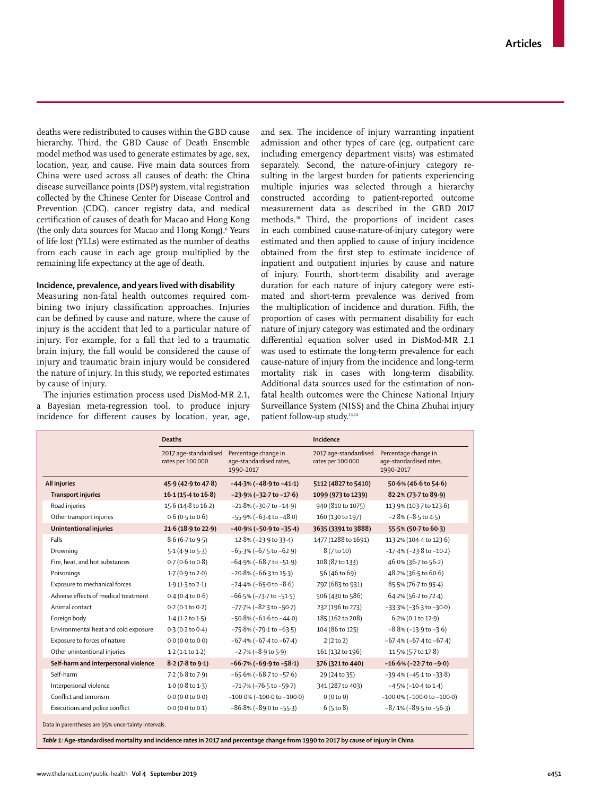deaths were redistributed to causes within the GBD cause hierarchy. Third, the GBD Cause of Death Ensemble model method was used to generate estimates by age, sex, location, year, and cause. Five main data sources from China were used across all causes of death: the China disease surveillance points (DSP) system, vital registration collected by the Chinese Center for Disease Control and Prevention (CDC), cancer registry data, and medical certification of causes of death for Macao and Hong Kong (the only data sources for Macao and Hong Kong).<sup>6</sup> Years of life lost (YLLs) were estimated as the number of deaths from each cause in each age group multiplied by the remaining life expectancy at the age of death.

## **Incidence, prevalence, and years lived with disability**

Measuring non-fatal health outcomes required combining two injury classification approaches. Injuries can be defined by cause and nature, where the cause of injury is the accident that led to a particular nature of injury. For example, for a fall that led to a traumatic brain injury, the fall would be considered the cause of injury and traumatic brain injury would be considered the nature of injury. In this study, we reported estimates by cause of injury.

The injuries estimation process used DisMod-MR 2.1, a Bayesian meta-regression tool, to produce injury incidence for different causes by location, year, age, and sex. The incidence of injury warranting inpatient admission and other types of care (eg, outpatient care including emergency department visits) was estimated separately. Second, the nature-of-injury category resulting in the largest burden for patients experiencing multiple injuries was selected through a hierarchy constructed according to patient-reported outcome measurement data as described in the GBD 2017 methods.10 Third, the proportions of incident cases in each combined cause-nature-of-injury category were estimated and then applied to cause of injury incidence obtained from the first step to estimate incidence of inpatient and outpatient injuries by cause and nature of injury. Fourth, short-term disability and average duration for each nature of injury category were estimated and short-term prevalence was derived from the multiplication of incidence and duration. Fifth, the proportion of cases with permanent disability for each nature of injury category was estimated and the ordinary differential equation solver used in DisMod-MR 2.1 was used to estimate the long-term prevalence for each cause-nature of injury from the incidence and long-term mortality risk in cases with long-term disability. Additional data sources used for the estimation of nonfatal health outcomes were the Chinese National Injury Surveillance System (NISS) and the China Zhuhai injury patient follow-up study.13,14

|                                                    | <b>Deaths</b>                              |                                                              | Incidence                                  |                                                              |
|----------------------------------------------------|--------------------------------------------|--------------------------------------------------------------|--------------------------------------------|--------------------------------------------------------------|
|                                                    | 2017 age-standardised<br>rates per 100 000 | Percentage change in<br>age-standardised rates,<br>1990-2017 | 2017 age-standardised<br>rates per 100 000 | Percentage change in<br>age-standardised rates,<br>1990-2017 |
| <b>All injuries</b>                                | 45.9 (42.9 to 47.8)                        | $-44.3\%$ (-48.9 to -41.1)                                   | 5112 (4827 to 5410)                        | 50.6% (46.6 to 54.6)                                         |
| <b>Transport injuries</b>                          | $16.1(15.4 \text{ to } 16.8)$              | $-23.9\%$ (-32.7 to -17.6)                                   | 1099 (973 to 1239)                         | 82.2% (73.7 to 89.9)                                         |
| Road injuries                                      | 15.6 (14.8 to 16.2)                        | $-21.8\%$ ( $-30.7$ to $-14.9$ )                             | 940 (810 to 1075)                          | 113.9% (103.7 to 123.6)                                      |
| Other transport injuries                           | $0.6$ (0.5 to 0.6)                         | $-55.9\%$ ( $-63.4$ to $-48.0$ )                             | 160 (130 to 197)                           | $-2.8\%$ ( $-8.5$ to 4.5)                                    |
| <b>Unintentional injuries</b>                      | 21.6 (18.9 to 22.9)                        | $-40.9\%$ (-50.9 to -35.4)                                   | 3635 (3391 to 3888)                        | 55.5% (50.7 to 60.3)                                         |
| Falls                                              | $8.6(6.7 \text{ to } 9.5)$                 | 12.8% (-23.9 to 33.4)                                        | 1477 (1288 to 1691)                        | 113.2% (104.4 to 123.6)                                      |
| Drowning                                           | 5.1 (4.9 to 5.3)                           | $-65.3\%$ ( $-67.5$ to $-62.9$ )                             | 8 (7 to 10)                                | $-17.4\%$ (-23.8 to -10.2)                                   |
| Fire, heat, and hot substances                     | $0.7(0.6 \text{ to } 0.8)$                 | $-64.9\%$ ( $-68.7$ to $-51.9$ )                             | 108 (87 to 133)                            | 46.0% (36.7 to 56.2)                                         |
| Poisonings                                         | 1.7(0.9 to 2.0)                            | $-20.8\%$ ( $-66.3$ to 15.3)                                 | 56 (46 to 69)                              | 48.2% (36.5 to 60.6)                                         |
| Exposure to mechanical forces                      | $1.9(1.3 \text{ to } 2.1)$                 | $-24.4\%$ ( $-65.0$ to $-8.6$ )                              | 797 (683 to 931)                           | 85.5% (76.7 to 95.4)                                         |
| Adverse effects of medical treatment               | $0.4$ (0.4 to 0.6)                         | $-66.5\%$ (-73.7 to -51.5)                                   | 506 (430 to 586)                           | 64.2% (56.2 to 72.4)                                         |
| Animal contact                                     | $0.2$ (0.1 to 0.2)                         | $-77.7\%$ ( $-82.3$ to $-50.7$ )                             | 232 (196 to 273)                           | $-33.3\%$ ( $-36.3$ to $-30.0$ )                             |
| Foreign body                                       | $1.4(1.2 \text{ to } 1.5)$                 | $-50.8\%$ ( $-61.6$ to $-44.0$ )                             | 185 (162 to 208)                           | $6.2\%$ (0.1 to 12.9)                                        |
| Environmental heat and cold exposure               | $0.3(0.2 \text{ to } 0.4)$                 | $-75.8\%$ ( $-79.1$ to $-63.5$ )                             | 104 (86 to 125)                            | $-8.8\%$ ( $-13.9$ to $-3.6$ )                               |
| Exposure to forces of nature                       | $0.0$ (0.0 to $0.0$ )                      | $-67.4\%$ ( $-67.4$ to $-67.4$ )                             | 2(2 to 2)                                  | $-67.4\%$ ( $-67.4$ to $-67.4$ )                             |
| Other unintentional injuries                       | 1.2(1.1 to 1.2)                            | $-2.7\%$ ( $-8.9$ to 5.9)                                    | 161 (132 to 196)                           | 11.5% (5.7 to 17.8)                                          |
| Self-harm and interpersonal violence               | $8.2$ (7 $.8$ to 9 $.1$ )                  | $-66.7\%$ (-69.9 to -58.1)                                   | 376 (321 to 440)                           | $-16.6\%$ (-22.7 to -9.0)                                    |
| Self-harm                                          | 7.2 (6.8 to 7.9)                           | $-65.6\% (-68.7 \text{ to } -57.6)$                          | 29 (24 to 35)                              | $-39.4\%$ ( $-45.1$ to $-33.8$ )                             |
| Interpersonal violence                             | 1.0 (0.8 to 1.3)                           | $-71.7\%$ ( $-76.5$ to $-59.7$ )                             | 341 (287 to 403)                           | $-4.5\%$ ( $-10.4$ to $1.4$ )                                |
| Conflict and terrorism                             | 0.0(0.0 to 0.0)                            | $-100.0\%$ ( $-100.0$ to $-100.0$ )                          | 0(0 to 0)                                  | $-100.0\%$ ( $-100.0$ to $-100.0$ )                          |
| Executions and police conflict                     | 0.0 (0.0 to 0.1)                           | $-86.8\%$ ( $-89.0$ to $-55.3$ )                             | 6(5 to 8)                                  | $-87.1\%$ ( $-89.5$ to $-56.3$ )                             |
| Data in parentheses are 95% uncertainty intervals. |                                            |                                                              |                                            |                                                              |

*Table 1:* **Age-standardised mortality and incidence rates in 2017 and percentage change from 1990 to 2017 by cause of injury in China**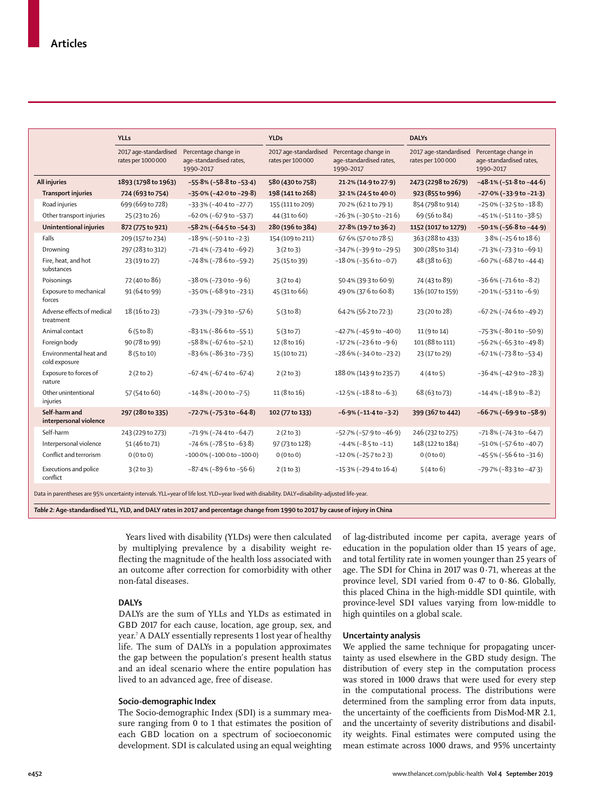|                                         | <b>YLLs</b>                                |                                                              | <b>YLDs</b>                                |                                                              | <b>DALYs</b>                               |                                                              |
|-----------------------------------------|--------------------------------------------|--------------------------------------------------------------|--------------------------------------------|--------------------------------------------------------------|--------------------------------------------|--------------------------------------------------------------|
|                                         | 2017 age-standardised<br>rates per 1000000 | Percentage change in<br>age-standardised rates,<br>1990-2017 | 2017 age-standardised<br>rates per 100 000 | Percentage change in<br>age-standardised rates,<br>1990-2017 | 2017 age-standardised<br>rates per 100 000 | Percentage change in<br>age-standardised rates,<br>1990-2017 |
| <b>All injuries</b>                     | 1893 (1798 to 1963)                        | $-55.8\%$ (-58.8 to -53.4)                                   | 580 (430 to 758)                           | 21.2% (14.9 to 27.9)                                         | 2473 (2298 to 2679)                        | $-48.1\%$ (-51.8 to -44.6)                                   |
| <b>Transport injuries</b>               | 724 (693 to 754)                           | $-35.0\%$ (-42.0 to -29.8)                                   | 198 (141 to 268)                           | 32.1% (24.5 to 40.0)                                         | 923 (855 to 996)                           | $-27.0\%$ (-33.9 to -21.3)                                   |
| Road injuries                           | 699 (669 to 728)                           | $-33.3\%$ ( $-40.4$ to $-27.7$ )                             | 155 (111 to 209)                           | 70.2% (62.1 to 79.1)                                         | 854 (798 to 914)                           | $-25.0\%$ ( $-32.5$ to $-18.8$ )                             |
| Other transport injuries                | 25 (23 to 26)                              | $-62.0\% (-67.9$ to $-53.7)$                                 | 44 (31 to 60)                              | $-26.3\%$ ( $-30.5$ to $-21.6$ )                             | 69 (56 to 84)                              | $-45.1\%$ ( $-51.1$ to $-38.5$ )                             |
| <b>Unintentional injuries</b>           | 872 (775 to 921)                           | $-58.2\%$ (-64.5 to -54.3)                                   | 280 (196 to 384)                           | 27.8% (19.7 to 36.2)                                         | 1152 (1017 to 1279)                        | $-50.1\%$ ( $-56.8$ to $-44.9$ )                             |
| Falls                                   | 209 (157 to 234)                           | $-18.9\%$ ( $-50.1$ to $-2.3$ )                              | 154 (109 to 211)                           | 67.6% (57.0 to 78.5)                                         | 363 (288 to 433)                           | 3.8% (-25.6 to 18.6)                                         |
| Drowning                                | 297 (283 to 312)                           | $-71.4\%$ ( $-73.4$ to $-69.2$ )                             | 3(2 to 3)                                  | $-34.7\%$ (-39.9 to -29.5)                                   | 300 (285 to 314)                           | $-71.3\%$ ( $-73.3$ to $-69.1$ )                             |
| Fire, heat, and hot<br>substances       | 23 (19 to 27)                              | $-74.8\%$ ( $-78.6$ to $-59.2$ )                             | 25 (15 to 39)                              | $-18.0\%$ ( $-35.6$ to $-0.7$ )                              | 48 (38 to 63)                              | $-60.7\%$ ( $-68.7$ to $-44.4$ )                             |
| Poisonings                              | 72 (40 to 86)                              | $-38.0\% (-73.0 \text{ to } -9.6)$                           | 3(2 to 4)                                  | 50.4% (39.3 to 60.9)                                         | 74 (43 to 89)                              | $-36.6\%$ ( $-71.6$ to $-8.2$ )                              |
| Exposure to mechanical<br>forces        | 91 (64 to 99)                              | $-35.0\%$ ( $-68.9$ to $-23.1$ )                             | 45 (31 to 66)                              | 49.0% (37.6 to 60.8)                                         | 136 (107 to 159)                           | $-20.1\% (-53.1 to -6.9)$                                    |
| Adverse effects of medical<br>treatment | 18 (16 to 23)                              | $-73.3\%$ ( $-79.3$ to $-57.6$ )                             | 5(3 to 8)                                  | 64.2% (56.2 to 72.3)                                         | 23 (20 to 28)                              | $-67.2\%$ (-74.6 to -49.2)                                   |
| Animal contact                          | 6(5 to 8)                                  | $-83.1\%$ ( $-86.6$ to $-55.1$ )                             | 5(3 to 7)                                  | $-42.7\%$ (-45.9 to -40.0)                                   | 11 (9 to 14)                               | $-75.3\%$ ( $-80.1$ to $-50.9$ )                             |
| Foreign body                            | 90 (78 to 99)                              | $-58.8\%$ (-67.6 to $-52.1$ )                                | 12 (8 to 16)                               | $-17.2\%$ ( $-23.6$ to $-9.6$ )                              | 101 (88 to 111)                            | $-56.2\%$ ( $-65.3$ to $-49.8$ )                             |
| Environmental heat and<br>cold exposure | 8 (5 to 10)                                | $-83.6\%$ ( $-86.3$ to $-73.5$ )                             | 15 (10 to 21)                              | $-28.6\%$ ( $-34.0$ to $-23.2$ )                             | 23 (17 to 29)                              | $-67.1\%$ (-73.8 to -53.4)                                   |
| Exposure to forces of<br>nature         | 2(2 to 2)                                  | $-67.4\%$ ( $-67.4$ to $-67.4$ )                             | 2(2 to 3)                                  | 188.0% (143.9 to 235.7)                                      | 4(4 to 5)                                  | $-36.4\%$ ( $-42.9$ to $-28.3$ )                             |
| Other unintentional<br>injuries         | 57 (54 to 60)                              | $-14.8\%$ (-20.0 to -7.5)                                    | 11 (8 to 16)                               | $-12.5\%$ ( $-18.8$ to $-6.3$ )                              | 68 (63 to 73)                              | $-14.4\%$ ( $-18.9$ to $-8.2$ )                              |
| Self-harm and<br>interpersonal violence | 297 (280 to 335)                           | $-72.7\%$ ( $-75.3$ to $-64.8$ )                             | 102 (77 to 133)                            | $-6.9\%$ (-11.4 to -3.2)                                     | 399 (367 to 442)                           | $-66.7\%$ (-69.9 to -58.9)                                   |
| Self-harm                               | 243 (229 to 273)                           | $-71.9\%$ ( $-74.4$ to $-64.7$ )                             | 2(2 to 3)                                  | -52.7% (-57.9 to -46.9)                                      | 246 (232 to 275)                           | $-71.8\%$ ( $-74.3$ to $-64.7$ )                             |
| Interpersonal violence                  | 51 (46 to 71)                              | $-74.6\%$ ( $-78.5$ to $-63.8$ )                             | 97 (73 to 128)                             | $-4.4\% (-8.5 \text{ to } -1.1)$                             | 148 (122 to 184)                           | $-51.0\% (-57.6$ to $-40.7)$                                 |
| Conflict and terrorism                  | 0(0 to 0)                                  | $-100.0\%$ ( $-100.0$ to $-100.0$ )                          | 0(0 to 0)                                  | $-12.0\%$ (-25.7 to 2.3)                                     | 0(0 to 0)                                  | $-45.5\%$ (-56.6 to -31.6)                                   |
| Executions and police<br>conflict       | 3(2 to 3)                                  | $-87.4\%$ ( $-89.6$ to $-56.6$ )                             | 2(1 to 3)                                  | $-15.3\%$ (-29.4 to 16.4)                                    | 5(4 to 6)                                  | $-79.7\%$ ( $-83.3$ to $-47.3$ )                             |

Data in parentheses are 95% uncertainty intervals. YLL=year of life lost. YLD=year lived with disability. DALY=disability-adjusted life-year.

*Table 2:* **Age-standardised YLL, YLD, and DALY rates in 2017 and percentage change from 1990 to 2017 by cause of injury in China**

Years lived with disability (YLDs) were then calculated by multiplying prevalence by a disability weight reflecting the magnitude of the health loss associated with an outcome after correction for comorbidity with other non-fatal diseases.

## **DALYs**

DALYs are the sum of YLLs and YLDs as estimated in GBD 2017 for each cause, location, age group, sex, and year.7 A DALY essentially represents 1 lost year of healthy life. The sum of DALYs in a population approximates the gap between the population's present health status and an ideal scenario where the entire population has lived to an advanced age, free of disease.

#### **Socio-demographic Index**

The Socio-demographic Index (SDI) is a summary measure ranging from 0 to 1 that estimates the position of each GBD location on a spectrum of socioeconomic development. SDI is calculated using an equal weighting of lag-distributed income per capita, average years of education in the population older than 15 years of age, and total fertility rate in women younger than 25 years of age. The SDI for China in 2017 was 0·71, whereas at the province level, SDI varied from 0·47 to 0·86. Globally, this placed China in the high-middle SDI quintile, with province-level SDI values varying from low-middle to high quintiles on a global scale.

#### **Uncertainty analysis**

We applied the same technique for propagating uncertainty as used elsewhere in the GBD study design. The distribution of every step in the computation process was stored in 1000 draws that were used for every step in the computational process. The distributions were determined from the sampling error from data inputs, the uncertainty of the coefficients from DisMod-MR 2.1, and the uncertainty of severity distributions and disability weights. Final estimates were computed using the mean estimate across 1000 draws, and 95% uncertainty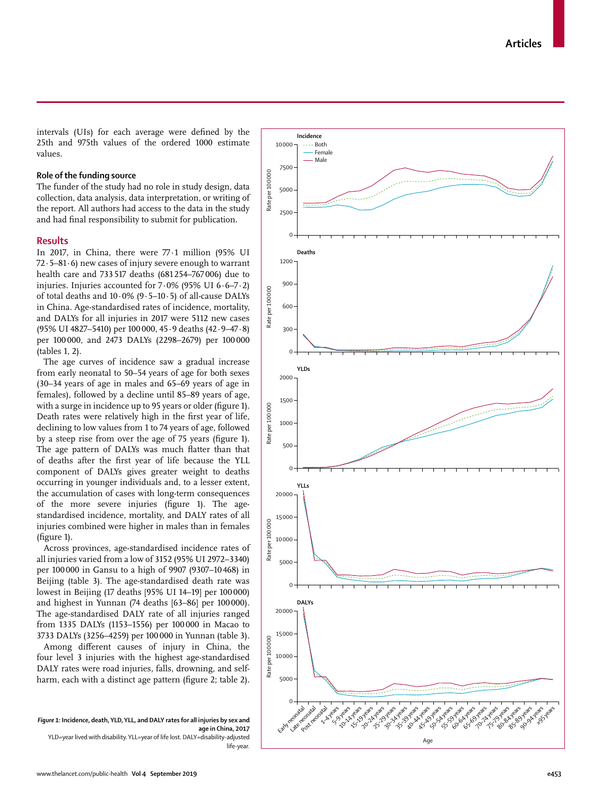intervals (UIs) for each average were defined by the 25th and 975th values of the ordered 1000 estimate values.

## **Role of the funding source**

The funder of the study had no role in study design, data collection, data analysis, data interpretation, or writing of the report. All authors had access to the data in the study and had final responsibility to submit for publication.

### **Results**

In 2017, in China, there were 77·1 million (95% UI 72·5–81·6) new cases of injury severe enough to warrant health care and 733 517 deaths (681 254–767 006) due to injuries. Injuries accounted for 7·0% (95% UI 6·6–7·2) of total deaths and  $10.0\%$  (9.5–10.5) of all-cause DALYs in China. Age-standardised rates of incidence, mortality, and DALYs for all injuries in 2017 were 5112 new cases (95% UI 4827–5410) per 100 000, 45·9 deaths (42·9–47·8) per 100 000, and 2473 DALYs (2298–2679) per 100 000 (tables 1, 2).

The age curves of incidence saw a gradual increase from early neonatal to 50–54 years of age for both sexes (30–34 years of age in males and 65–69 years of age in females), followed by a decline until 85–89 years of age, with a surge in incidence up to 95 years or older (figure 1). Death rates were relatively high in the first year of life, declining to low values from 1 to 74 years of age, followed by a steep rise from over the age of 75 years (figure 1). The age pattern of DALYs was much flatter than that of deaths after the first year of life because the YLL component of DALYs gives greater weight to deaths occurring in younger individuals and, to a lesser extent, the accumulation of cases with long-term consequences of the more severe injuries (figure 1). The agestandardised incidence, mortality, and DALY rates of all injuries combined were higher in males than in females (figure 1).

Across provinces, age-standardised incidence rates of all injuries varied from a low of 3152 (95% UI 2972–3340) per 100 000 in Gansu to a high of 9907 (9307–10 468) in Beijing (table 3). The age-standardised death rate was lowest in Beijing (17 deaths [95% UI 14–19] per 100 000) and highest in Yunnan (74 deaths [63–86] per 100 000). The age-standardised DALY rate of all injuries ranged from 1335 DALYs (1153–1556) per 100 000 in Macao to 3733 DALYs (3256–4259) per 100 000 in Yunnan (table 3).

Among different causes of injury in China, the four level 3 injuries with the highest age-standardised DALY rates were road injuries, falls, drowning, and selfharm, each with a distinct age pattern (figure 2; table 2).

*Figure 1:* **Incidence, death, YLD, YLL, and DALY rates for all injuries by sex and age in China, 2017**

YLD=year lived with disability. YLL=year of life lost. DALY=disability-adjusted life-year.

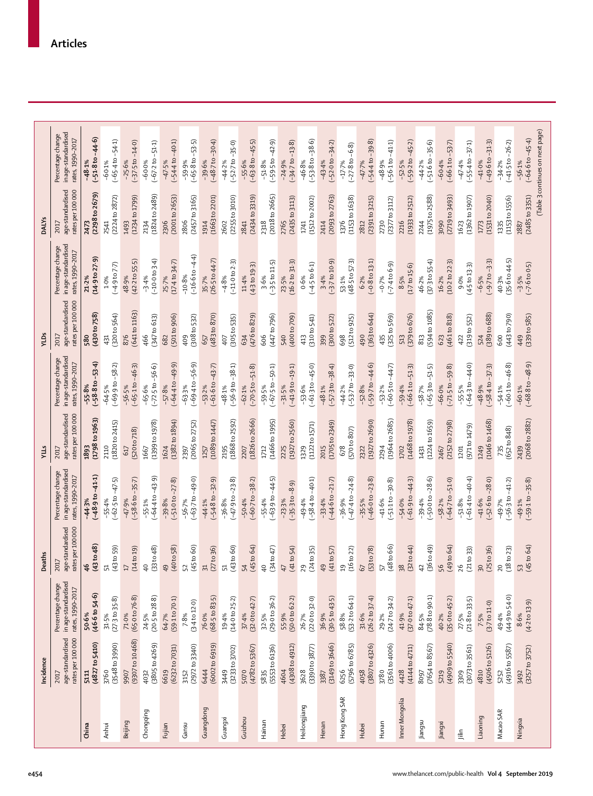|                | Incidence                                    |                                                              | Deaths                                                   |                                                              | XLLS                                         |                                                              | YLDs                                         |                                                              | <b>DALYS</b>                                 |                                                              |
|----------------|----------------------------------------------|--------------------------------------------------------------|----------------------------------------------------------|--------------------------------------------------------------|----------------------------------------------|--------------------------------------------------------------|----------------------------------------------|--------------------------------------------------------------|----------------------------------------------|--------------------------------------------------------------|
|                | rates per 100000<br>age-standardised<br>2017 | in age-standardised<br>Percentage change<br>rates, 1990-2017 | rates per 100000<br>age-standardised<br>2017             | in age-standardised<br>Percentage change<br>rates, 1990-2017 | rates per 100000<br>age-standardised<br>2017 | in age-standardised<br>Percentage change<br>rates, 1990-2017 | rates per 100000<br>age-standardised<br>2017 | in age-standardised<br>Percentage change<br>rates, 1990-2017 | rates per 100000<br>age-standardised<br>2017 | in age-standardised<br>Percentage change<br>rates, 1990-2017 |
| China          | (4827 to 5410)<br>5111                       | (46.6 to 54.6)<br>50.6%                                      | (43 to 48)<br>46                                         | $(-148.9 to -41.1)$<br>$-44.3%$                              | $(1798$ to $1963)$<br>1893                   | $(-58.8 to -53.4)$<br>$-55.8%$                               | (430 to 758)<br>580                          | (14.9 to 27.9)<br>21.2%                                      | (2298 to 2679)<br>2473                       | $(-51.8 \text{ to } -44.6)$<br>$-48.1%$                      |
| Anhui          | (3548 <sub>to</sub> 3990)<br>3760            | $(27-3)$ to 35-8)<br>31.5%                                   | to 59)<br>$\mathfrak{B}$<br>51                           | $(-62.5 to -47.5)$<br>$-55.4%$                               | (1820 to 2415)<br>2110                       | $(-69.9)$ to $-58.2$ )<br>$-64.5%$                           | (320 to 564)<br>431                          | $(-4.9$ to 7.7)<br>1.0%                                      | (2224 to 2872)<br>2541                       | $(-65.4 to -54.1)$<br>$-60.1%$                               |
| Beijing        | (9307 to 10468)<br>9907                      | (65.0 to 76.8)<br>71.0%                                      | to 19<br>$\overline{\mathcal{U}}$<br>$\Xi$               | $(-58.6 \text{ to } -35.7)$<br>$-47.9%$                      | (520 to 718)<br>617                          | $(-65.1 to -46.3)$<br>$-56.5%$                               | (641 to 1163)<br>876                         | $(42.2 \text{ to } 55.5)$<br>48.9%                           | (1234 to 1799)<br>1493                       | $(-37.5 to -14.0)$<br>$-25.6%$                               |
| Chongqing      | (3805 to 4269)<br>4032                       | $(20-5t_0 28.8)$<br>24-5%                                    | $\frac{1}{6}$ to 48)<br>$\mathfrak{S}$<br>$\overline{4}$ | $(-64.4 to -43.9)$<br>$-55.1%$                               | (1399 to 1978)<br>1667                       | $(-72.5 to -56.6)$<br>$-65.6%$                               | (347 to 613)<br>466                          | $(-10.0 to 3.4)$<br>$-3.4%$                                  | (1824 to 2489)<br>2134                       | $(-67.2 to -51.1)$<br>$-60.0%$                               |
| Fujian         | (6232 to 7031)<br>6619                       | (59.1 to 70.1)<br>64-7%                                      | (40 to 58)<br>49                                         | $(-51.0 to -27.8)$<br>$-39.8%$                               | (1382 to 1894)<br>1624                       | $(-64.4 to -49.9)$<br>$-57.8%$                               | (501 to 906)<br>682                          | (17.4 to 34.7)<br>25-7%                                      | (2001 to 2653)<br>2306                       | $(-54.4 to -40.1)$<br>$-47.5%$                               |
| Gansu          | (2972 to 3340)<br>3152                       | (3.4 to 12.0)<br>7.8%                                        | $\frac{1}{10}$ to $60$<br>(45)<br>$5^{\circ}$            | $(-63.7 \text{ to } -49.0)$<br>$-56.7%$                      | (2065 to 2752)<br>2397                       | $(-69-4t0-56.9)$<br>$-63.3%$                                 | (308 to 532)<br>409                          | $(-16.6 to -4.4)$<br>$-10.8%$                                | (2457 to 3165)<br>2806                       | $(-65.8 to -53.5)$<br>$-59.9%$                               |
| Guangdong      | (6002 to 6919)<br>6444                       | (68.5 to 83.5)<br>76.0%                                      | to 36)<br>$\Xi$<br>(2)                                   | $(-54.8$ to $-32.9)$<br>$-44.1%$                             | (1089 to 1447)<br>1257                       | $(-61.6 to -43.7)$<br>$-53.2%$                               | (483 to 870)<br>657                          | $(26-5t04-7)$<br>35-7%                                       | (1663 to 2201)<br>1914                       | $(-48.7 to -30.4)$<br>$-39.6%$                               |
| Guangxi        | (3233 to 3702)<br>3449                       | (140 to 25.2)<br>19-4%                                       | $\frac{1}{2}$<br>51<br>ਤਿ                                | $(-47.9$ to $-23.8)$<br>$-36.8%$                             | (1868 to 2592)<br>2195                       | $(-56.9 to -38.1)$<br>$-48.1%$                               | (305 to 535)<br>407                          | $(-11.0 to 2.3)$<br>$-4.8%$                                  | (2255 to 3010)<br>2602                       | $(-52.7 to -35.0)$<br>$-44.2%$                               |
| Guizhou        | (4782 to 5367)<br>5070                       | (32.0 to 42.7)<br>37.4%                                      | to 64<br>54<br>45                                        | $(-60.7 to -38.2)$<br>$-50.4%$                               | (1826 to 2666)<br>2207                       | $(-70.5 to -51.8)$<br>$-62.1%$                               | (476 to 829)<br>634                          | $(4.3 \text{ to } 19.3)$<br>11.4%                            | (2434 to 3319)<br>2841                       | $(-63.8 to -45.5)$<br>$-55.6%$                               |
| Hainan         | (5553 to 6136)<br>5835                       | (29.0 to 36.2)<br>32.5%                                      | (34 to 47)<br>$\overline{4}$                             | $(-63.9 to -44.5)$<br>$-55.4%$                               | (1466 to 1995)<br>1712                       | $(-67.5 to -50.1)$<br>$-59.5%$                               | (447 to 796)<br>606                          | $(-3.5 \text{ to } 11.5)$<br>3.6%                            | (2018 to 2665)<br>2318                       | $(-59.5 to -42.9)$<br>$-51.8%$                               |
| Hebei          | (4308 to 4912)<br>4604                       | (50.0 to 62.2)<br>55-9%                                      | to 54)<br>$47$<br>$\widehat{a}$                          | $(-35.3 to -8.9)$<br>$-23.3%$                                | (1927 to 2560)<br>2225                       | $(-41.9 to -19.1)$<br>$-31.5%$                               | (400 to 709)<br>540                          | (16.2 to 31.3)<br>23-5%                                      | (2435 to 3113)<br>2765                       | $(-34.7 to -13.8)$<br>$-24.9%$                               |
| Heilongjiang   | (3390 to 3877)<br>3628                       | (22.0 to 32.0)<br>26-7%                                      | $\pm 0.35$<br>29<br>$\overline{c}$                       | $(-58.4 to -40.1)$<br>$-49.4%$                               | (1122 to 1571)<br>1329                       | $(-61.3 to -45.0)$<br>$-53.6%$                               | (310 to 541)<br>413                          | $(-4.5 to 6.1)$<br>0.6%                                      | (1512 to 2002)<br>1741                       | $(-53.8 to -38.6)$<br>$-46.8%$                               |
| Henan          | (3149 to 3646)<br>3387                       | $(30-5 to 43-5)$<br>36.9%                                    | to 57)<br>49<br>$\overline{41}$                          | $(-44.6 to -21.7)$<br>$-33.4%$                               | (1705 to 2349)<br>2015                       | $(-57.3 to -38.4)$<br>$-48.1%$                               | (300 to 522)<br>399                          | $(-3.7 \text{ to } 10.9)$<br>3.4%                            | (2093 to 2763)<br>2414                       | $(-52.0 \text{ to } -34.2)$<br>$-43.4%$                      |
| Hong Kong SAR  | (5796 to 6785)<br>6256                       | (53.2 to 64.1)<br>58.8%                                      | to $22$<br>(16)<br>$\overline{19}$                       | $(-47.4t0 - 24.8)$<br>$-36.9%$                               | (570to807)<br>678                            | $(-53.7 to -33.0)$<br>$-44.2%$                               | (512 to 925)<br>698                          | (48.5 to 57.3)<br>53.1%                                      | (1153 to 1638)<br>1376                       | $(-27.8 to -6.8)$<br>$-17.7%$                                |
| Hubei          | (3807 to 4326)<br>4058                       | (26.2 to 37.4)<br>31.6%                                      | to $78$<br>$\mathbb{E}$<br>67                            | $(-46.0 to -23.8)$<br>$-35.5%$                               | (1927 to 2690)<br>2322                       | $(-59.7 to -44.6)$<br>$-52.8%$                               | (363 to 644)<br>490                          | $(-0.8$ to $13.1)$<br>6.2%                                   | (2391 to 3215)<br>2812                       | $(-54.4 to -39.8)$<br>$-47.7%$                               |
| Hunan          | (3561 to 4006)<br>3780                       | (24.7 to 34.2)<br>29.2%                                      | 57<br>(48 to 66)                                         | $(-51.1 to -30.8)$<br>$-41.6%$                               | (1964 to 2685)<br>2294                       | $(-60.5$ to $-44.7)$<br>$-53.2%$                             | (325 to 569)<br>435                          | $(-7.4 to 6.9)$<br>$-0.7%$                                   | (2377 to 3112)<br>2730                       | $(-56.1 to -41.1)$<br>$-48.9%$                               |
| Inner Mongolia | (4144 to 4711)<br>4428                       | (37.0 to 47.1)<br>41.9%                                      | to 44)<br>38                                             | $(-61.9 to -44.3)$<br>$-54.0%$                               | $(1468$ to $1978)$<br>1702                   | $(-66.1 to -51.3)$<br>$-59.4%$                               | (379 to 676)<br>513                          | (1.7 to 15.6)<br>8.5%                                        | (1933 to 2512)<br>2216                       | $(-59.2 \text{ to } -45.2)$<br>$-52.5%$                      |
| Jiangsu        | (7654 to 8567)<br>8097                       | (78.8 to 90.1)<br>84-5%                                      | (640<br>$\overline{6}$<br>$\overline{4}$                 | $(-50.0 to -28.6)$<br>$-39.4%$                               | (1224 to 1659)<br>1431                       | $(-65-3 to -51-5)$<br>$-58.7%$                               | (594 to 1085)<br>813                         | $(37-3 to 55-4)$<br>46.2%                                    | (1975 to 2588)<br>2244                       | $(-51.6 \text{ to } -35.6)$<br>$-44.2%$                      |
| Jiangxi        | (4909 to 5540)<br>5219                       | (35.0 to 45.2)<br>40.2%                                      | to 64<br>(49)<br>56                                      | $(-64.7 to -51.0)$<br>$-58.2%$                               | (2152 to 2798)<br>2467                       | $(-71.5 to -59.8)$<br>$-66.0%$                               | (461 to 818)<br>623                          | $(10.2 \text{ to } 22.3)$<br>16.2%                           | (2719 to 3493)<br>3090                       | $(-66.1 to -53.7)$<br>$-60.4%$                               |
| 這              | (3073 to 3561)<br>3309                       | (21.8 to 33.5)<br>27-5%                                      | $\frac{1}{2}$<br>26<br>$\overline{c}$                    | $(-61.4 to -40.4)$<br>$-51.8%$                               | (971 to 1479)<br>1201                        | $(-64.3 to -44.0)$<br>$-55.5%$                               | (319 to 552)<br>422                          | $(4.5 \text{ to } 13.3)$<br>9.0%                             | (1362 to 1907)<br>1623                       | $(-55.4 to -37.1)$<br>$-47.4%$                               |
| Liaoning       | (4506 to 5126)<br>4810                       | (3.7 to 11.0)<br>7.5%                                        | to 36)<br>(25)<br>$\sqrt{2}$                             | $(-52.6 \text{ to } -28.0)$<br>$-41.6%$                      | $(1046 \text{ to } 1468)$<br>1249            | $(-58.4 to -37.3)$<br>$-48.9%$                               | (389 to 688)<br>524                          | $(-9.7 to -3.3)$<br>$-6.5%$                                  | (1531 to 2040)<br>1773                       | $(-49.6 \text{ to } -31.3)$<br>$-41.0%$                      |
| Macao SAR      | (4916 to 5587)<br>5252                       | (44.9 to 54.0)<br>49.4%                                      | to $23$ )<br>20<br>연                                     | $(-56.3 to -41.2)$<br>$-49.7%$                               | (652 to 848)                                 | $(-60.1 to -46.8)$<br>$-54.1%$                               | (443 to 790)<br>600                          | $(35-6 to 44-5)$<br>40.3%                                    | (1153 to 1556)<br>1335                       | $(-41.5 to -26.2)$<br>$-34.2%$                               |
| Ningxia        | (3257 to 3752)<br>3492                       | (4.2 to 13.9)<br>8.6%                                        | to 64<br>$53 \text{ }$                                   | $(-59.1 to -35.8)$<br>$-49.1%$                               | (2068 to 2882)<br>2439                       | $(-68.8 to -48.9)$<br>$-60.1%$                               | (339 to 585)<br>449                          | $(-7.6 \text{ to } 0.5)$<br>$-3.5%$                          | (2485 to 3351)<br>2887                       | $(-64.6 to -45.4)$<br>$-56.1%$                               |
|                |                                              |                                                              |                                                          |                                                              |                                              |                                                              |                                              |                                                              |                                              | (Table 3 continues on next page)                             |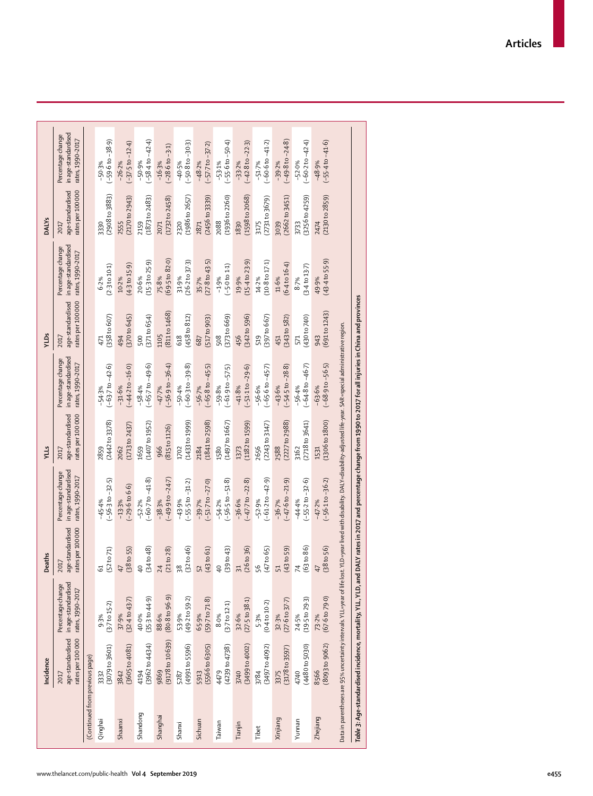|                                                                                                                                                                  | Incidence                                    |                                                              | Deaths                                                |                                                                                                                                                                                  | STIA                                         |                                                              | <b>XLDS</b>                                  |                                                              | <b>DALYs</b>                                 |                                                              |
|------------------------------------------------------------------------------------------------------------------------------------------------------------------|----------------------------------------------|--------------------------------------------------------------|-------------------------------------------------------|----------------------------------------------------------------------------------------------------------------------------------------------------------------------------------|----------------------------------------------|--------------------------------------------------------------|----------------------------------------------|--------------------------------------------------------------|----------------------------------------------|--------------------------------------------------------------|
|                                                                                                                                                                  | rates per 100000<br>age-standardised<br>2017 | in age-standardised<br>Percentage change<br>rates, 1990-2017 | age-standardised<br>rates per 100000<br>2017          | in age-standardised<br>Percentage change<br>rates, 1990-2017                                                                                                                     | rates per 100000<br>age-standardised<br>2017 | in age-standardised<br>Percentage change<br>rates, 1990-2017 | rates per 100000<br>age-standardised<br>2017 | in age-standardised<br>Percentage change<br>rates, 1990-2017 | rates per 100000<br>age-standardised<br>2017 | in age-standardised<br>Percentage change<br>rates, 1990-2017 |
| (Continued from previous page)                                                                                                                                   |                                              |                                                              |                                                       |                                                                                                                                                                                  |                                              |                                                              |                                              |                                                              |                                              |                                                              |
| Qinghai                                                                                                                                                          | (3079 to 3601)<br>3332                       | (3.7 to 15.2)<br>9.3%                                        | to 71<br><b>G</b> 52                                  | $(-56.3 to -32.5)$<br>$-45.4%$                                                                                                                                                   | (2442 to 3378)<br>2859                       | $(-63.7 to -42.6)$<br>$-54.3%$                               | (358 to 607)<br>471                          | (2.3 to 10.1)<br>6.2%                                        | (2908 to 3883)<br>3330                       | $(-59.6 \text{ to } -38.9)$<br>$-50.3%$                      |
| Shaanxi                                                                                                                                                          | (3605 to 4081)<br>3842                       | (32.4 to 43.7)<br>37.9%                                      | to 55)<br>(38)<br>$47$                                | $(-29.6 to 6.6)$<br>$-13.3%$                                                                                                                                                     | (1713 to 2437)<br>2062                       | $(-44.2 to -16.0)$<br>$-31.6%$                               | (370 to 645)<br>494                          | (4.3 to 15.9)<br>10.2%                                       | (2170 to 2943)<br>2555                       | $(-37.5 to -12.4)$<br>$-26.2%$                               |
| Shandong                                                                                                                                                         | (3962 to 4434)<br>4194                       | (35.3 to 44.9)<br>40.0%                                      | $\cdot$ to 48)<br>$\Im$<br>$\overline{4}$             | $(-60.7 to -41.8)$<br>$-52.2%$                                                                                                                                                   | (1407 to 1952)<br>1659                       | $(-65 - 7t0 - 49.6)$<br>$-58.4%$                             | (371 to 654)<br>500                          | $(15-3 to 25-9)$<br>20.6%                                    | (1873 to 2483)<br>2159                       | $(-58.4 to -42.4)$<br>$-50.9%$                               |
| Shanghai                                                                                                                                                         | (9178 to 10639)<br>9869                      | (80.8 to 96.9)<br>88.6%                                      | to $28$ )<br>$\frac{5}{2}$                            | $(-49.9 to -24.7)$<br>$-38.3%$                                                                                                                                                   | (815 to 1126)<br>966                         | $(-56.9 to -36.4)$<br>$-47.7%$                               | (811 to 1468)<br>1105                        | (69.5 to 82.0)<br>75.8%                                      | (1732 to 2458)<br>2071                       | $(-28.6 \text{ to } -3.1)$<br>$-16.3%$                       |
| Shanxi                                                                                                                                                           | (4991 to 5596)<br>5287                       | (49.2 to 59.2)<br>53.9%                                      | to 46<br>$\Im$<br>$38$                                | $(-55.5 to -31.2)$<br>$-43.9%$                                                                                                                                                   | (1433 to 1999)<br>1702                       | $(-60.3 to -39.8)$<br>$-50.4%$                               | (458 to 812)<br>618                          | (26.2 to 37.3)<br>31.9%                                      | (1986 to 2657)<br>2320                       | $(-50.8to -30.3)$<br>$-40.5%$                                |
| Sichuan                                                                                                                                                          | (5566 to 6305)<br>5913                       | $(59 - 7t0 - 71.8)$<br>65.9%                                 | $to 61)$<br>52                                        | $(-51.7 to -27.0)$<br>$-39.7%$                                                                                                                                                   | (1841 to 2598)<br>2184                       | $(-65.8 to -45.5)$<br>$-56.7%$                               | (517 to 903)<br>687                          | $(27.8$ to $43.5)$<br>35.7%                                  | (2456 to 3339)<br>2871                       | $(-57.7$ to $-37.2)$<br>$-48.2%$                             |
| Taiwan                                                                                                                                                           | (4239 to 4738)<br>4479                       | $(3-7)$ to $12-1$<br>8.0%                                    | to 43<br>69                                           | $(-56.5 to -51.8)$<br>$-54.2%$                                                                                                                                                   | (1497 to 1667)<br>1580                       | $(-61.9 to -57.5)$<br>$-59.8%$                               | (373 to 669)<br>508                          | $(-5.0 to 1.1)$<br>$-1.9%$                                   | (1936 to 2260)<br>2088                       | $(-55-6 to -50-4)$<br>$-53.1%$                               |
| Tianjin                                                                                                                                                          | (3499 to 4002)<br>3740                       | (27.5 to 38.1)<br>32.6%                                      | $(26 to 36)$<br>$\Xi$                                 | $(-47.7 to -22.8)$<br>$-36.6%$                                                                                                                                                   | (1182 to 1599)<br>1373                       | $(-51.1 to -29.6)$<br>$-41.8%$                               | (342 to 596)<br>456                          | (15.4 to 23.9)<br>19.9%                                      | (1598 to 2068)<br>1830                       | $(-42.8 to -22.3)$<br>$-33.2%$                               |
| Tibet                                                                                                                                                            | (3497 to 4092)<br>3784                       | (0.4 to 10.2)<br>5.3%                                        | 'to 65)<br>$\overline{47}$<br>56                      | $(-61.2 to -42.9)$<br>$-52.9%$                                                                                                                                                   | (2243 to 3147)<br>2656                       | $(-65.6 \text{ to } -45.7)$<br>$-56.6%$                      | (397 to 667)<br>519                          | $(10-8 to 17-1)$<br>14.2%                                    | (2731 to 3679)<br>3175                       | $(-60.6 to -41.2)$<br>$-51.7%$                               |
| Xinjiang                                                                                                                                                         | (3178 to 3597)<br>3375                       | (27.6 to 37.7)<br>32.3%                                      | to 59)<br>$51 \overline{4}$                           | $(-47.6 \text{ to } -21.9)$<br>$-36.7%$                                                                                                                                          | (2227 to 2988)<br>2588                       | $(-54.5 to -28.8)$<br>$-43.6%$                               | (343 to 582)<br>451                          | (6.4 to 16.4)<br>11.6%                                       | (2662 to 3451)<br>3039                       | $(-49.8 to -24.8)$<br>$-39.2%$                               |
| Yunnan                                                                                                                                                           | (4480 to 5030)<br>4740                       | (19.5 to 29.3)<br>24.5%                                      | to 86)<br>$\overline{63}$<br>$\overline{\mathcal{X}}$ | $(-55.2 to -32.6)$<br>$-44.4%$                                                                                                                                                   | (2718 to 3641)<br>3162                       | $(-64.8 to -46.7)$<br>$-56.4%$                               | (430 to 740)<br>571                          | (3.4 to 13.7)<br>8-7%                                        | (3256 to 4259)<br>3733                       | $(-60.2 to -42.4)$<br>$-52.0%$                               |
| Zhejiang                                                                                                                                                         | (20051093062)<br>8566                        | $(67.6 \text{ to } 79.0)$<br>73.2%                           | (38 to 56)<br>$\ensuremath{\varphi}\xspace$           | $(-56.1 to -36.2)$<br>$-47.2%$                                                                                                                                                   | (1306 to 1800)<br>1531                       | $(-68.9 \text{ to } -56.5)$<br>$-63.6%$                      | (691 to 1243)<br>943                         | (43.4 to 55.9)<br>49.9%                                      | (2130 to 2859)<br>2474                       | $(-55-41.6)$<br>$-48.9%$                                     |
|                                                                                                                                                                  |                                              |                                                              |                                                       |                                                                                                                                                                                  |                                              |                                                              |                                              |                                                              |                                              |                                                              |
| Table 3: Age-standardised incidence, mortality, YLL, YLD, and DALY rates in 2017 and percentage change from 1990 to 2017 for all injuries in China and provinces |                                              |                                                              |                                                       | Data in parentheses are 95% uncertainty intervals. YLL=year of life lost. YLD=year lived with disability. DALY=disability-adjusted life-year. SAR=special administrative region. |                                              |                                                              |                                              |                                                              |                                              |                                                              |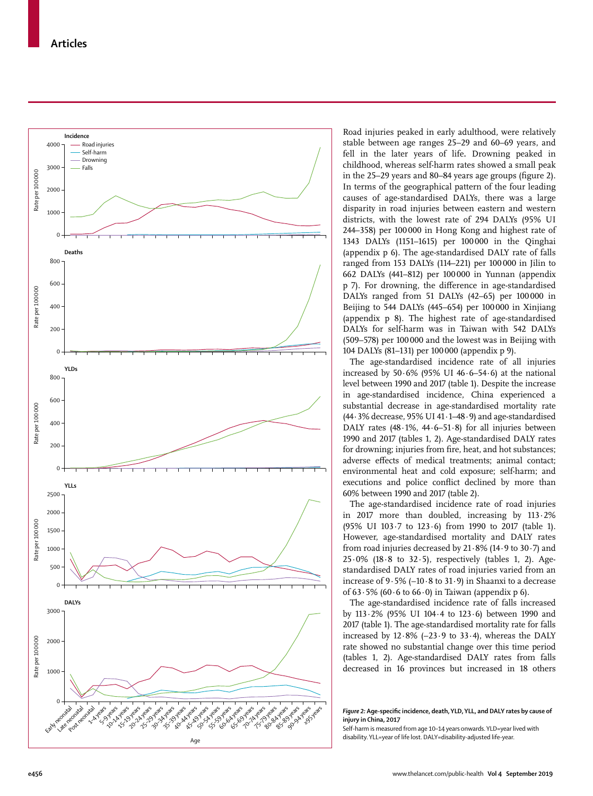

Road injuries peaked in early adulthood, were relatively stable between age ranges 25–29 and 60–69 years, and fell in the later years of life**.** Drowning peaked in childhood, whereas self-harm rates showed a small peak in the 25–29 years and 80–84 years age groups (figure 2). In terms of the geographical pattern of the four leading causes of age-standardised DALYs, there was a large disparity in road injuries between eastern and western districts, with the lowest rate of 294 DALYs (95% UI 244–358) per 100000 in Hong Kong and highest rate of 1343 DALYs (1151–1615) per 100000 in the Qinghai (appendix p 6). The age-standardised DALY rate of falls ranged from 153 DALYs (114–221) per 100 000 in Jilin to 662 DALYs (441–812) per 100000 in Yunnan (appendix p 7). For drowning, the difference in age-standardised DALYs ranged from 51 DALYs (42–65) per 100000 in Beijing to 544 DALYs (445–654) per 100 000 in Xinjiang (appendix p 8). The highest rate of age-standardised DALYs for self-harm was in Taiwan with 542 DALYs (509–578) per 100 000 and the lowest was in Beijing with 104 DALYs (81–131) per 100 000 (appendix p 9).

The age-standardised incidence rate of all injuries increased by  $50.6\%$  (95% UI  $46.6-54.6$ ) at the national level between 1990 and 2017 (table 1). Despite the increase in age-standardised incidence, China experienced a substantial decrease in age-standardised mortality rate (44·3% decrease, 95% UI 41·1–48·9) and age-standardised DALY rates  $(48.1\%, 44.6-51.8)$  for all injuries between 1990 and 2017 (tables 1, 2). Age-standardised DALY rates for drowning; injuries from fire, heat, and hot substances; adverse effects of medical treatments; animal contact; environmental heat and cold exposure; self-harm; and executions and police conflict declined by more than 60% between 1990 and 2017 (table 2).

The age-standardised incidence rate of road injuries in 2017 more than doubled, increasing by 113·2% (95% UI 103·7 to 123·6) from 1990 to 2017 (table 1). However, age-standardised mortality and DALY rates from road injuries decreased by 21·8% (14·9 to 30·7) and  $25.0\%$  (18.8 to 32.5), respectively (tables 1, 2). Agestandardised DALY rates of road injuries varied from an increase of 9·5% (−10·8 to 31·9) in Shaanxi to a decrease of  $63.5\%$  (60.6 to  $66.0$ ) in Taiwan (appendix p 6).

The age-standardised incidence rate of falls increased by 113·2% (95% UI 104·4 to 123·6) between 1990 and 2017 (table 1). The age-standardised mortality rate for falls increased by 12·8% (−23·9 to 33·4), whereas the DALY rate showed no substantial change over this time period (tables 1, 2). Age-standardised DALY rates from falls decreased in 16 provinces but increased in 18 others

*Figure 2:* **Age-specific incidence, death, YLD, YLL, and DALY rates by cause of injury in China, 2017**

Self-harm is measured from age 10–14 years onwards. YLD=year lived with disability. YLL=year of life lost. DALY=disability-adjusted life-year.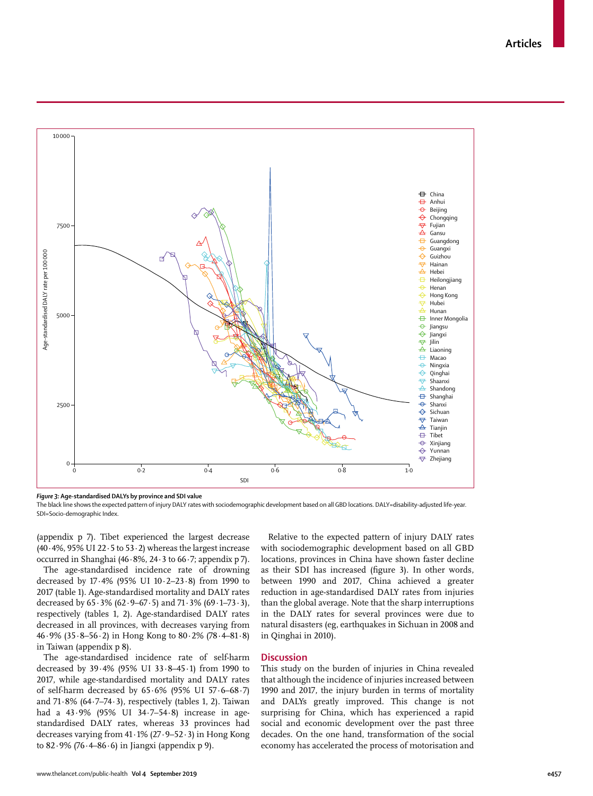**Articles**



*Figure 3:* **Age-standardised DALYs by province and SDI value**

The black line shows the expected pattern of injury DALY rates with sociodemographic development based on all GBD locations. DALY=disability-adjusted life-year. SDI=Socio-demographic Index.

(appendix p 7). Tibet experienced the largest decrease  $(40.4\%$ , 95% UI 22 $\cdot$ 5 to 53 $\cdot$ 2) whereas the largest increase occurred in Shanghai (46·8%, 24·3 to 66·7; appendix p 7).

The age-standardised incidence rate of drowning decreased by 17·4% (95% UI 10·2–23·8) from 1990 to 2017 (table 1). Age-standardised mortality and DALY rates decreased by  $65.3\%$   $(62.9-67.5)$  and  $71.3\%$   $(69.1-73.3)$ , respectively (tables 1, 2). Age-standardised DALY rates decreased in all provinces, with decreases varying from 46·9% (35·8–56·2) in Hong Kong to 80·2% (78·4–81·8) in Taiwan (appendix p 8).

The age-standardised incidence rate of self-harm decreased by 39·4% (95% UI 33·8–45·1) from 1990 to 2017, while age-standardised mortality and DALY rates of self-harm decreased by 65·6% (95% UI 57·6–68·7) and  $71.8\%$  (64 $.7-74.3$ ), respectively (tables 1, 2). Taiwan had a 43·9% (95% UI 34·7–54·8) increase in agestandardised DALY rates, whereas 33 provinces had decreases varying from 41·1% (27·9–52·3) in Hong Kong to  $82.9\%$  (76.4–86.6) in Jiangxi (appendix p 9).

Relative to the expected pattern of injury DALY rates with sociodemographic development based on all GBD locations, provinces in China have shown faster decline as their SDI has increased (figure 3). In other words, between 1990 and 2017, China achieved a greater reduction in age-standardised DALY rates from injuries than the global average. Note that the sharp interruptions in the DALY rates for several provinces were due to natural disasters (eg, earthquakes in Sichuan in 2008 and in Qinghai in 2010).

## **Discussion**

This study on the burden of injuries in China revealed that although the incidence of injuries increased between 1990 and 2017, the injury burden in terms of mortality and DALYs greatly improved. This change is not surprising for China, which has experienced a rapid social and economic development over the past three decades. On the one hand, transformation of the social economy has accelerated the process of motorisation and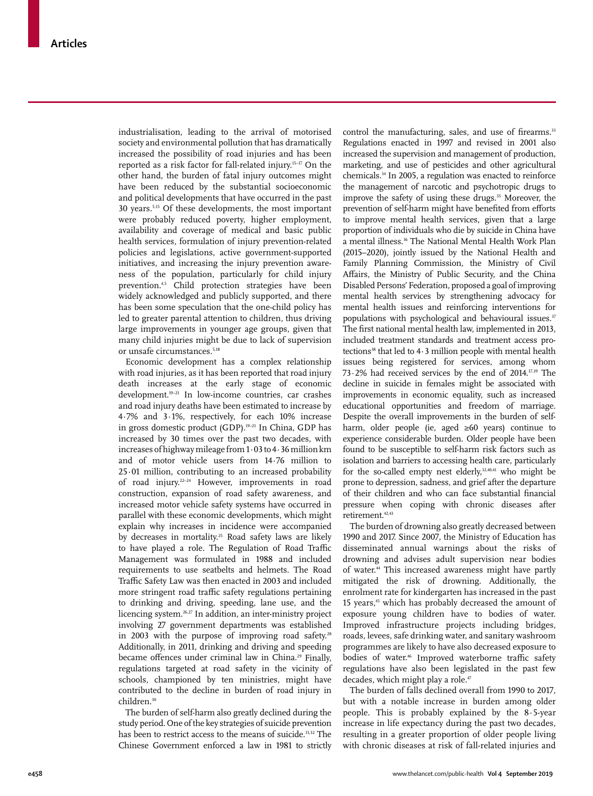industrialisation, leading to the arrival of motorised society and environmental pollution that has dramatically increased the possibility of road injuries and has been reported as a risk factor for fall-related injury.15–17 On the other hand, the burden of fatal injury outcomes might have been reduced by the substantial socioeconomic and political developments that have occurred in the past 30 years.5,15 Of these developments, the most important were probably reduced poverty, higher employment, availability and coverage of medical and basic public health services, formulation of injury prevention-related policies and legislations, active government-supported initiatives, and increasing the injury prevention awareness of the population, particularly for child injury prevention.<sup>4,5</sup> Child protection strategies have been widely acknowledged and publicly supported, and there has been some speculation that the one-child policy has led to greater parental attention to children, thus driving large improvements in younger age groups, given that many child injuries might be due to lack of supervision or unsafe circumstances.<sup>5,18</sup>

Economic development has a complex relationship with road injuries, as it has been reported that road injury death increases at the early stage of economic development.19–21 In low-income countries, car crashes and road injury deaths have been estimated to increase by 4·7% and 3·1%, respectively, for each 10% increase in gross domestic product (GDP).19–21 In China, GDP has increased by 30 times over the past two decades, with increases of highway mileage from 1·03 to 4·36 million km and of motor vehicle users from 14·76 million to 25·01 million, contributing to an increased probability of road injury.<sup>22-24</sup> However, improvements in road construction, expansion of road safety awareness, and increased motor vehicle safety systems have occurred in parallel with these economic developments, which might explain why increases in incidence were accompanied by decreases in mortality.<sup>25</sup> Road safety laws are likely to have played a role. The Regulation of Road Traffic Management was formulated in 1988 and included requirements to use seatbelts and helmets. The Road Traffic Safety Law was then enacted in 2003 and included more stringent road traffic safety regulations pertaining to drinking and driving, speeding, lane use, and the licencing system.<sup>26,27</sup> In addition, an inter-ministry project involving 27 government departments was established in 2003 with the purpose of improving road safety.<sup>28</sup> Additionally, in 2011, drinking and driving and speeding became offences under criminal law in China.<sup>29</sup> Finally, regulations targeted at road safety in the vicinity of schools, championed by ten ministries, might have contributed to the decline in burden of road injury in children.30

The burden of self-harm also greatly declined during the study period. One of the key strategies of suicide prevention has been to restrict access to the means of suicide.<sup>31,32</sup> The Chinese Government enforced a law in 1981 to strictly control the manufacturing, sales, and use of firearms.<sup>33</sup> Regulations enacted in 1997 and revised in 2001 also increased the supervision and management of production, marketing, and use of pesticides and other agricultural chemicals.34 In 2005, a regulation was enacted to reinforce the management of narcotic and psychotropic drugs to improve the safety of using these drugs.<sup>35</sup> Moreover, the prevention of self-harm might have benefited from efforts to improve mental health services, given that a large proportion of individuals who die by suicide in China have a mental illness.<sup>36</sup> The National Mental Health Work Plan (2015–2020), jointly issued by the National Health and Family Planning Commission, the Ministry of Civil Affairs, the Ministry of Public Security, and the China Disabled Persons' Federation, proposed a goal of improving mental health services by strengthening advocacy for mental health issues and reinforcing interventions for populations with psychological and behavioural issues. $37$ The first national mental health law, implemented in 2013, included treatment standards and treatment access protections<sup>38</sup> that led to 4·3 million people with mental health issues being registered for services, among whom 73 $\cdot$ 2% had received services by the end of 2014.<sup>37,39</sup> The decline in suicide in females might be associated with improvements in economic equality, such as increased educational opportunities and freedom of marriage. Despite the overall improvements in the burden of selfharm, older people (ie, aged ≥60 years) continue to experience considerable burden. Older people have been found to be susceptible to self-harm risk factors such as isolation and barriers to accessing health care, particularly for the so-called empty nest elderly,<sup>32,40,41</sup> who might be prone to depression, sadness, and grief after the departure of their children and who can face substantial financial pressure when coping with chronic diseases after retirement.<sup>42,43</sup>

The burden of drowning also greatly decreased between 1990 and 2017. Since 2007, the Ministry of Education has disseminated annual warnings about the risks of drowning and advises adult supervision near bodies of water.<sup>44</sup> This increased awareness might have partly mitigated the risk of drowning. Additionally, the enrolment rate for kindergarten has increased in the past 15 years,<sup>45</sup> which has probably decreased the amount of exposure young children have to bodies of water. Improved infrastructure projects including bridges, roads, levees, safe drinking water, and sanitary washroom programmes are likely to have also decreased exposure to bodies of water.46 Improved waterborne traffic safety regulations have also been legislated in the past few decades, which might play a role.<sup>47</sup>

The burden of falls declined overall from 1990 to 2017, but with a notable increase in burden among older people. This is probably explained by the 8·5-year increase in life expectancy during the past two decades, resulting in a greater proportion of older people living with chronic diseases at risk of fall-related injuries and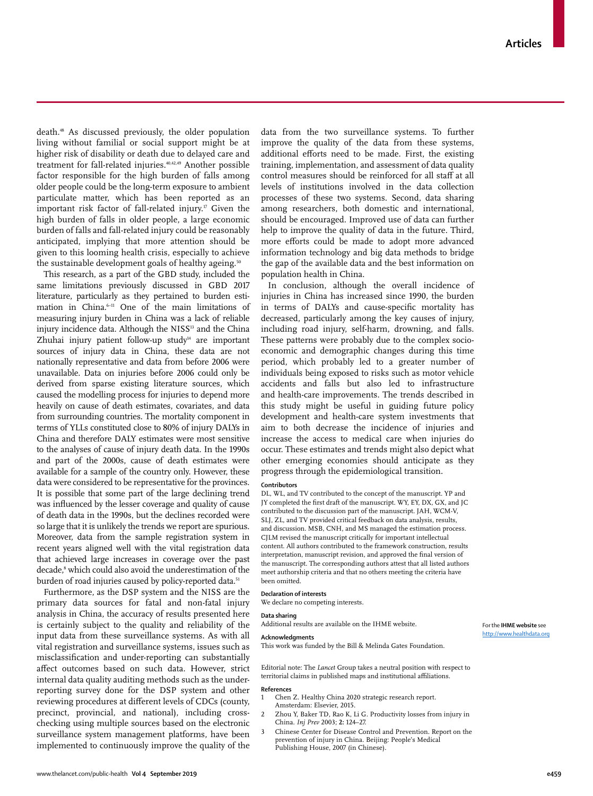death.48 As discussed previously, the older population living without familial or social support might be at higher risk of disability or death due to delayed care and treatment for fall-related injuries.40,42,49 Another possible factor responsible for the high burden of falls among older people could be the long-term exposure to ambient particulate matter, which has been reported as an important risk factor of fall-related injury. $\mathbb{F}$  Given the high burden of falls in older people, a large economic burden of falls and fall-related injury could be reasonably anticipated, implying that more attention should be given to this looming health crisis, especially to achieve the sustainable development goals of healthy ageing.<sup>50</sup>

This research, as a part of the GBD study, included the same limitations previously discussed in GBD 2017 literature, particularly as they pertained to burden estimation in China.6–11 One of the main limitations of measuring injury burden in China was a lack of reliable injury incidence data. Although the NISS<sup>13</sup> and the China Zhuhai injury patient follow-up study<sup>14</sup> are important sources of injury data in China, these data are not nationally representative and data from before 2006 were unavailable. Data on injuries before 2006 could only be derived from sparse existing literature sources, which caused the modelling process for injuries to depend more heavily on cause of death estimates, covariates, and data from surrounding countries. The mortality component in terms of YLLs constituted close to 80% of injury DALYs in China and therefore DALY estimates were most sensitive to the analyses of cause of injury death data. In the 1990s and part of the 2000s, cause of death estimates were available for a sample of the country only. However, these data were considered to be representative for the provinces. It is possible that some part of the large declining trend was influenced by the lesser coverage and quality of cause of death data in the 1990s, but the declines recorded were so large that it is unlikely the trends we report are spurious. Moreover, data from the sample registration system in recent years aligned well with the vital registration data that achieved large increases in coverage over the past decade,<sup>8</sup> which could also avoid the underestimation of the burden of road injuries caused by policy-reported data.<sup>51</sup>

Furthermore, as the DSP system and the NISS are the primary data sources for fatal and non-fatal injury analysis in China, the accuracy of results presented here is certainly subject to the quality and reliability of the input data from these surveillance systems. As with all vital registration and surveillance systems, issues such as misclassification and under-reporting can substantially affect outcomes based on such data. However, strict internal data quality auditing methods such as the underreporting survey done for the DSP system and other reviewing procedures at different levels of CDCs (county, precinct, provincial, and national), including crosschecking using multiple sources based on the electronic surveillance system management platforms, have been implemented to continuously improve the quality of the

data from the two surveillance systems. To further improve the quality of the data from these systems, additional efforts need to be made. First, the existing training, implementation, and assessment of data quality control measures should be reinforced for all staff at all levels of institutions involved in the data collection processes of these two systems. Second, data sharing among researchers, both domestic and international, should be encouraged. Improved use of data can further help to improve the quality of data in the future. Third, more efforts could be made to adopt more advanced information technology and big data methods to bridge the gap of the available data and the best information on population health in China.

In conclusion, although the overall incidence of injuries in China has increased since 1990, the burden in terms of DALYs and cause-specific mortality has decreased, particularly among the key causes of injury, including road injury, self-harm, drowning, and falls. These patterns were probably due to the complex socioeconomic and demographic changes during this time period, which probably led to a greater number of individuals being exposed to risks such as motor vehicle accidents and falls but also led to infrastructure and health-care improvements. The trends described in this study might be useful in guiding future policy development and health-care system investments that aim to both decrease the incidence of injuries and increase the access to medical care when injuries do occur. These estimates and trends might also depict what other emerging economies should anticipate as they progress through the epidemiological transition.

#### **Contributors**

DL, WL, and TV contributed to the concept of the manuscript. YP and JY completed the first draft of the manuscript. WY, EY, DX, GX, and JC contributed to the discussion part of the manuscript. JAH, WCM-V, SLJ, ZL, and TV provided critical feedback on data analysis, results, and discussion. MSB, CNH, and MS managed the estimation process. CJLM revised the manuscript critically for important intellectual content. All authors contributed to the framework construction, results interpretation, manuscript revision, and approved the final version of the manuscript. The corresponding authors attest that all listed authors meet authorship criteria and that no others meeting the criteria have been omitted.

#### **Declaration of interests**

We declare no competing interests.

### **Data sharing**

Additional results are available on the [IHME website](http://www.healthdata.org).

#### **Acknowledgments**

This work was funded by the Bill & Melinda Gates Foundation.

Editorial note: The *Lancet* Group takes a neutral position with respect to territorial claims in published maps and institutional affiliations.

#### **References**

- Chen Z. Healthy China 2020 strategic research report. Amsterdam: Elsevier, 2015.
- 2 Zhou Y, Baker TD, Rao K, Li G. Productivity losses from injury in China. *Inj Prev* 2003; **2:** 124–27.
- 3 Chinese Center for Disease Control and Prevention. Report on the prevention of injury in China. Beijing: People's Medical Publishing House, 2007 (in Chinese).

For the **IHME website** see <http://www.healthdata.org>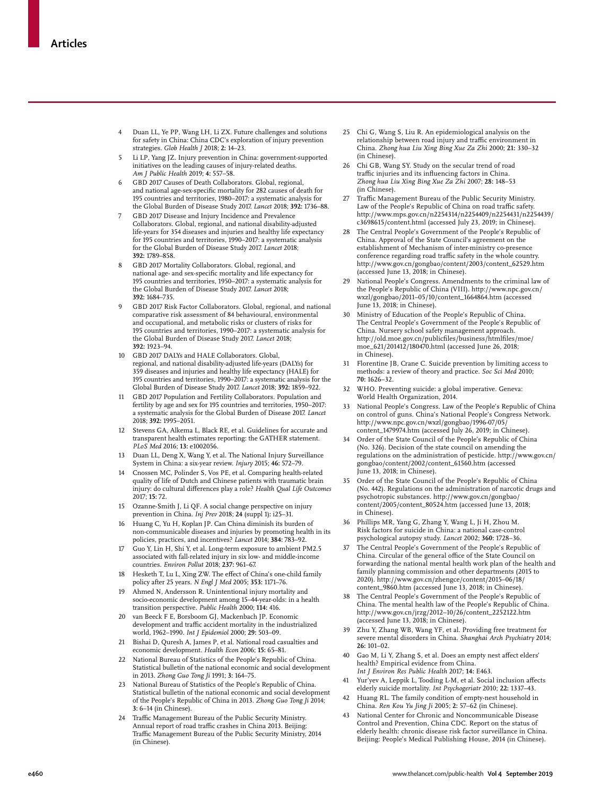- 4 Duan LL, Ye PP, Wang LH, Li ZX. Future challenges and solutions for safety in China: China CDC's exploration of injury prevention strategies. *Glob Health J* 2018; **2:** 14–23.
- 5 Li LP, Yang JZ. Injury prevention in China: government-supported initiatives on the leading causes of injury-related deaths. *Am J Public Health* 2019; **4:** 557–58.
- 6 GBD 2017 Causes of Death Collaborators. Global, regional, and national age-sex-specific mortality for 282 causes of death for 195 countries and territories, 1980–2017: a systematic analysis for the Global Burden of Disease Study 2017. *Lancet* 2018; **392:** 1736–88.
- GBD 2017 Disease and Injury Incidence and Prevalence Collaborators. Global, regional, and national disability-adjusted life-years for 354 diseases and injuries and healthy life expectancy for 195 countries and territories, 1990–2017: a systematic analysis for the Global Burden of Disease Study 2017. *Lancet* 2018; **392:** 1789–858.
- 8 GBD 2017 Mortality Collaborators. Global, regional, and national age- and sex-specific mortality and life expectancy for 195 countries and territories, 1950–2017: a systematic analysis for the Global Burden of Disease Study 2017. *Lancet* 2018; **392:** 1684–735.
- 9 GBD 2017 Risk Factor Collaborators. Global, regional, and national comparative risk assessment of 84 behavioural, environmental and occupational, and metabolic risks or clusters of risks for 195 countries and territories, 1990–2017: a systematic analysis for the Global Burden of Disease Study 2017. *Lancet* 2018; **392:** 1923–94.
- 10 GBD 2017 DALYs and HALE Collaborators. Global, regional, and national disability-adjusted life-years (DALYs) for 359 diseases and injuries and healthy life expectancy (HALE) for 195 countries and territories, 1990–2017: a systematic analysis for the Global Burden of Disease Study 2017. *Lancet* 2018; **392:** 1859–922.
- 11 GBD 2017 Population and Fertility Collaborators. Population and fertility by age and sex for 195 countries and territories, 1950–2017: a systematic analysis for the Global Burden of Disease 2017. *Lancet* 2018; **392:** 1995–2051.
- 12 Stevens GA, Alkema L, Black RE, et al. Guidelines for accurate and transparent health estimates reporting: the GATHER statement. *PLoS Med* 2016; **13:** e1002056.
- 13 Duan LL, Deng X, Wang Y, et al*.* The National Injury Surveillance System in China: a six-year review. *Injury* 2015; **46:** 572–79.
- 14 Cnossen MC, Polinder S, Vos PE, et al*.* Comparing health-related quality of life of Dutch and Chinese patients with traumatic brain injury: do cultural differences play a role? *Health Qual Life Outcomes* 2017; **15:** 72.
- 15 Ozanne-Smith J, Li QF. A social change perspective on injury prevention in China. *Inj Prev* 2018; **24** (suppl 1)**:** i25–31.
- 16 Huang C, Yu H, Koplan JP. Can China diminish its burden of non-communicable diseases and injuries by promoting health in its policies, practices, and incentives? *Lancet* 2014; **384:** 783–92.
- 17 Guo Y, Lin H, Shi Y, et al. Long-term exposure to ambient PM2.5 associated with fall-related injury in six low- and middle-income countries. *Environ Pollut* 2018; **237:** 961–67.
- 18 Hesketh T, Lu L, Xing ZW. The effect of China's one-child family policy after 25 years. *N Engl J Med* 2005; **353:** 1171–76.
- 19 Ahmed N, Andersson R. Unintentional injury mortality and socio-economic development among 15–44-year-olds: in a health transition perspective. *Public Health* 2000; **114:** 416.
- 20 van Beeck F E, Borsboom GJ, Mackenbach JP. Economic development and traffic accident mortality in the industrialized world, 1962–1990. *Int J Epidemiol* 2000; **29:** 503–09.
- 21 Bishai D, Quresh A, James P, et al. National road casualties and economic development. *Health Econ* 2006; **15:** 65–81.
- 22 National Bureau of Statistics of the People's Republic of China. Statistical bulletin of the national economic and social development in 2013. *Zhong Guo Tong Ji* 1991; **3:** 164–75.
- 23 National Bureau of Statistics of the People's Republic of China. Statistical bulletin of the national economic and social development of the People's Republic of China in 2013. *Zhong Guo Tong Ji* 2014; **3:** 6–14 (in Chinese).
- 24 Traffic Management Bureau of the Public Security Ministry. Annual report of road traffic crashes in China 2013. Beijing: Traffic Management Bureau of the Public Security Ministry, 2014 (in Chinese).
- 25 Chi G, Wang S, Liu R. An epidemiological analysis on the relationship between road injury and traffic environment in China. *Zhong hua Liu Xing Bing Xue Za Zhi* 2000; **21:** 330–32 (in Chinese).
- 26 Chi GB, Wang SY. Study on the secular trend of road traffic injuries and its influencing factors in China. *Zhong hua Liu Xing Bing Xue Za Zhi* 2007; **28:** 148–53 (in Chinese).
- Traffic Management Bureau of the Public Security Ministry. Law of the People's Republic of China on road traffic safety. http://www.mps.gov.cn/n2254314/n2254409/n2254431/n2254439/ c3698615/content.html (accessed July 23, 2019; in Chinese).
- 28 The Central People's Government of the People's Republic of China. Approval of the State Council's agreement on the establishment of Mechanism of inter-ministry co-presence conference regarding road traffic safety in the whole country. http://www.gov.cn/gongbao/content/2003/content\_62529.htm (accessed June 13, 2018; in Chinese).
- 29 National People's Congress. Amendments to the criminal law of the People's Republic of China (VIII). http://www.npc.gov.cn/ wxzl/gongbao/2011–05/10/content\_1664864.htm (accessed June 13, 2018; in Chinese).
- 30 Ministry of Education of the People's Republic of China. The Central People's Government of the People's Republic of China. Nursery school safety management approach. http://old.moe.gov.cn/publicfiles/business/htmlfiles/moe/ moe\_621/201412/180470.html (accessed June 26, 2018; in Chinese).
- 31 Florentine JB, Crane C. Suicide prevention by limiting access to methods: a review of theory and practice. *Soc Sci Med* 2010; **70:** 1626–32.
- 32 WHO. Preventing suicide: a global imperative. Geneva: World Health Organization, 2014.
- National People's Congress. Law of the People's Republic of China on control of guns. China's National People's Congress Network. http://www.npc.gov.cn/wxzl/gongbao/1996-07/05/ content\_1479974.htm (accessed July 26, 2019; in Chinese).
- 34 Order of the State Council of the People's Republic of China (No. 326). Decision of the state council on amending the regulations on the administration of pesticide. http://www.gov.cn/ gongbao/content/2002/content\_61560.htm (accessed June 13, 2018; in Chinese).
- 35 Order of the State Council of the People's Republic of China (No. 442). Regulations on the administration of narcotic drugs and psychotropic substances. http://www.gov.cn/gongbao/ content/2005/content\_80524.htm (accessed June 13, 2018; in Chinese).
- 36 Phillips MR, Yang G, Zhang Y, Wang L, Ji H, Zhou M. Risk factors for suicide in China: a national case-control psychological autopsy study. *Lancet* 2002; **360:** 1728–36.
- 37 The Central People's Government of the People's Republic of China. Circular of the general office of the State Council on forwarding the national mental health work plan of the health and family planning commission and other departments (2015 to 2020). http://www.gov.cn/zhengce/content/2015–06/18/ content\_9860.htm (accessed June 13, 2018; in Chinese).
- 38 The Central People's Government of the People's Republic of China. The mental health law of the People's Republic of China. http://www.gov.cn/jrzg/2012–10/26/content\_2252122.htm (accessed June 13, 2018; in Chinese).
- 39 Zhu Y, Zhang WB, Wang YF, et al. Providing free treatment for severe mental disorders in China. *Shanghai Arch Psychiatry* 2014; **26:** 101–02.
- 40 Gao M, Li Y, Zhang S, et al*.* Does an empty nest affect elders' health? Empirical evidence from China. *Int J Environ Res Public Health* 2017; **14:** E463.
- 41 Yur'yev A, Leppik L, Tooding L-M, et al. Social inclusion affects elderly suicide mortality. *Int Psychogeriatr* 2010; **22:** 1337–43.
- 42 Huang RL. The family condition of empty-nest household in China. *Ren Kou Yu Jing Ji* 2005; **2:** 57–62 (in Chinese).
- National Center for Chronic and Noncommunicable Disease Control and Prevention, China CDC. Report on the status of elderly health: chronic disease risk factor surveillance in China. Beijing: People's Medical Publishing House, 2014 (in Chinese).